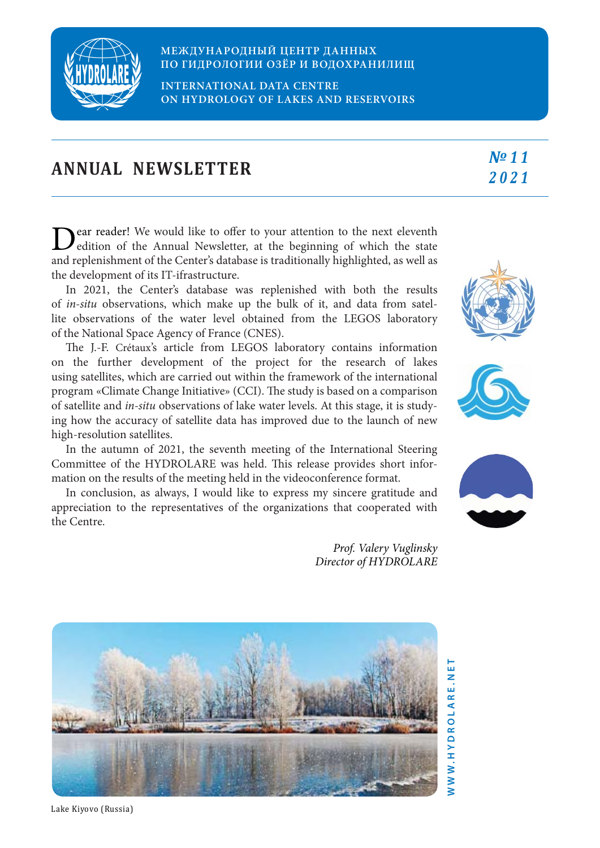

## **МЕЖДУНАРОДНЫЙ ЦЕНТР ДАННЫХ ПО ГИДРОЛОГИИ ОЗЁР И ВОДОХРАНИЛИЩ**

**INTERNATIONAL DATA CENTRE ON HYDROLOGY OF LAKES AND RESERVOIRS**

|  | <b>ANNUAL NEWSLETTER</b> | $No$ 11 |
|--|--------------------------|---------|
|  |                          | 2021    |

ear reader! We would like to offer to your attention to the next eleventh edition of the Annual Newsletter, at the beginning of which the state and replenishment of the Center's database is traditionally highlighted, as well as the development of its IT-ifrastructure.

In 2021, the Center's database was replenished with both the results of *in-situ* observations, which make up the bulk of it, and data from satellite observations of the water level obtained from the LEGOS laboratory of the National Space Agency of France (CNES).

The J.-F. Crétaux's article from LEGOS laboratory contains information on the further development of the project for the research of lakes using satellites, which are carried out within the framework of the international program «Climate Change Initiative» (CCI). The study is based on a comparison of satellite and *in-situ* observations of lake water levels. At this stage, it is studying how the accuracy of satellite data has improved due to the launch of new high-resolution satellites.

In the autumn of 2021, the seventh meeting of the International Steering Committee of the HYDROLARE was held. This release provides short information on the results of the meeting held in the videoconference format.

In conclusion, as always, I would like to express my sincere gratitude and appreciation to the representatives of the organizations that cooperated with the Centre.

> *Prof. Valery Vuglinsky Director of HYDROLARE*





ìп





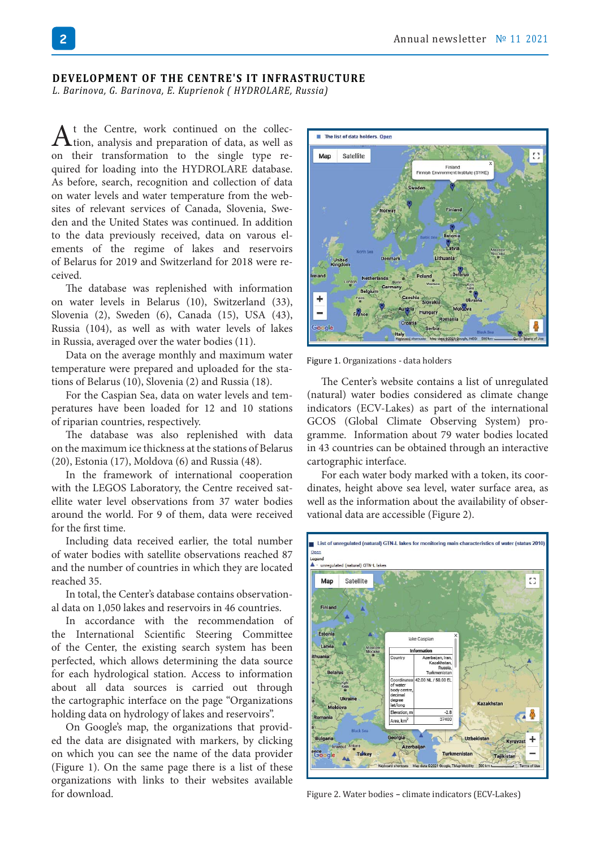## **DEVELOPMENT OF THE CENTRE'S IT INFRASTRUCTURE**

*L. Barinova, G. Barinova, E. Kuprienok ( HYDROLARE, Russia)*

 $A$ <sup>t</sup> the Centre, work continued on the collection, analysis and preparation of data, as well as on their transformation to the single type required for loading into the HYDROLARE database. As before, search, recognition and collection of data on water levels and water temperature from the websites of relevant services of Canada, Slovenia, Sweden and the United States was continued. In addition to the data previously received, data on varous elements of the regime of lakes and reservoirs of Belarus for 2019 and Switzerland for 2018 were received.

The database was replenished with information on water levels in Belarus (10), Switzerland (33), Slovenia (2), Sweden (6), Canada (15), USA (43), Russia (104), as well as with water levels of lakes in Russia, averaged over the water bodies (11).

Data on the average monthly and maximum water temperature were prepared and uploaded for the stations of Belarus (10), Slovenia (2) and Russia (18).

For the Caspian Sea, data on water levels and temperatures have been loaded for 12 and 10 stations of riparian countries, respectively.

The database was also replenished with data on the maximum ice thickness at the stations of Belarus (20), Estonia (17), Moldova (6) and Russia (48).

In the framework of international cooperation with the LEGOS Laboratory, the Centre received satellite water level observations from 37 water bodies around the world. For 9 of them, data were received for the first time.

Including data received earlier, the total number of water bodies with satellite observations reached 87 and the number of countries in which they are located reached 35.

In total, the Center's database contains observational data on 1,050 lakes and reservoirs in 46 countries.

In accordance with the recommendation of the International Scientific Steering Committee of the Center, the existing search system has been perfected, which allows determining the data source for each hydrological station. Access to information about all data sources is carried out through the cartographic interface on the page "Organizations holding data on hydrology of lakes and reservoirs".

On Google's map, the organizations that provided the data are disignated with markers, by clicking on which you can see the name of the data provider (Figure 1). On the same page there is a list of these organizations with links to their websites available for download.



Figure 1. Organizations - data holders

The Center's website contains a list of unregulated (natural) water bodies considered as climate change indicators (ECV-Lakes) as part of the international GCOS (Global Climate Observing System) programme. Information about 79 water bodies located in 43 countries can be obtained through an interactive cartographic interface.

For each water body marked with a token, its coordinates, height above sea level, water surface area, as well as the information about the availability of observational data are accessible (Figure 2).



Figure 2. Water bodies – climate indicators (ECV-Lakes)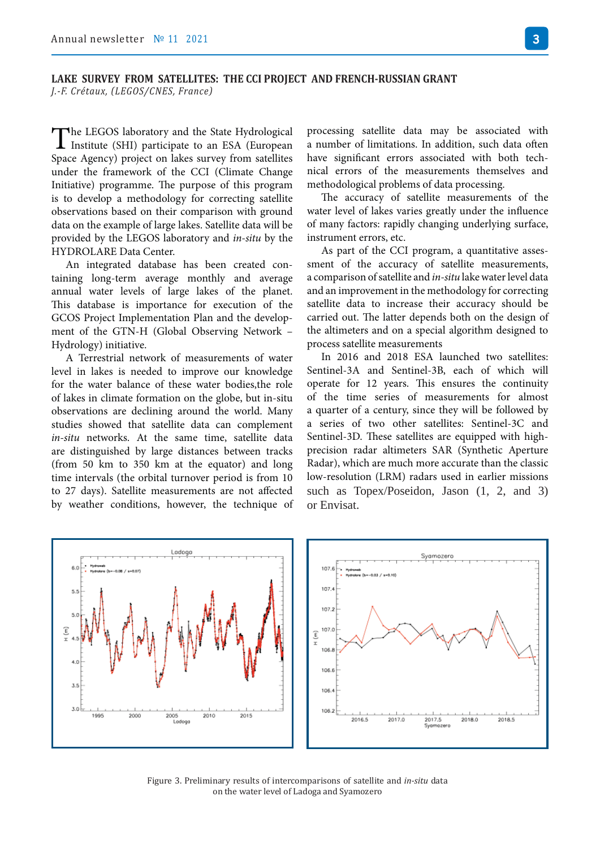The LEGOS laboratory and the State Hydrological<br>Institute (SHI) participate to an ESA (European Space Agency) project on lakes survey from satellites under the framework of the CCI (Climate Change Initiative) programme. The purpose of this program is to develop a methodology for correcting satellite observations based on their comparison with ground data on the example of large lakes. Satellite data will be provided by the LEGOS laboratory and *in-situ* by the HYDROLARE Data Center.

An integrated database has been created containing long-term average monthly and average annual water levels of large lakes of the planet. This database is importance for execution of the GCOS Project Implementation Plan and the development of the GTN-H (Global Observing Network – Hydrology) initiative.

A Terrestrial network of measurements of water level in lakes is needed to improve our knowledge for the water balance of these water bodies,the role of lakes in climate formation on the globe, but in-situ observations are declining around the world. Many studies showed that satellite data can complement *in-situ* networks. At the same time, satellite data are distinguished by large distances between tracks (from 50 km to 350 km at the equator) and long time intervals (the orbital turnover period is from 10 to 27 days). Satellite measurements are not affected by weather conditions, however, the technique of

processing satellite data may be associated with a number of limitations. In addition, such data often have significant errors associated with both technical errors of the measurements themselves and methodological problems of data processing.

The accuracy of satellite measurements of the water level of lakes varies greatly under the influence of many factors: rapidly changing underlying surface, instrument errors, etc.

As part of the CCI program, a quantitative assessment of the accuracy of satellite measurements, a comparison of satellite and *in-situ* lake water level data and an improvement in the methodology for correcting satellite data to increase their accuracy should be carried out. The latter depends both on the design of the altimeters and on a special algorithm designed to process satellite measurements

In 2016 and 2018 ESA launched two satellites: Sentinel-3A and Sentinel-3B, each of which will operate for 12 years. This ensures the continuity of the time series of measurements for almost a quarter of a century, since they will be followed by a series of two other satellites: Sentinel-3C and Sentinel-3D. These satellites are equipped with highprecision radar altimeters SAR (Synthetic Aperture Radar), which are much more accurate than the classic low-resolution (LRM) radars used in earlier missions such as Topex/Poseidon, Jason  $(1, 2, and 3)$ or Envisat.



Figure 3. Preliminary results of intercomparisons of satellite and *in-situ* data on the water level of Ladoga and Syamozero